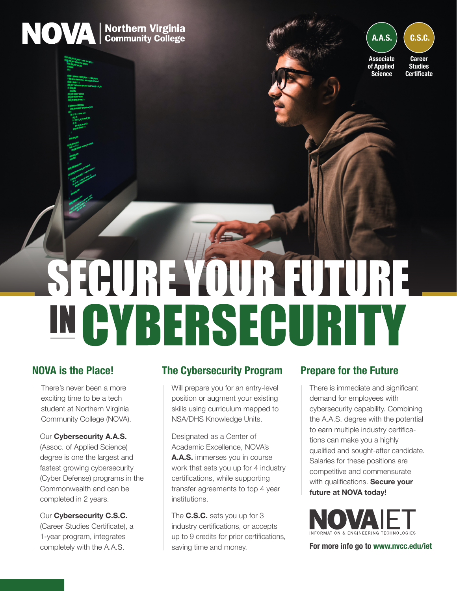



## **NOVA is the Place!**

There's never been a more exciting time to be a tech student at Northern Virginia Community College (NOVA).

### Our **Cybersecurity A.A.S.**

(Assoc. of Applied Science) degree is one the largest and fastest growing cybersecurity (Cyber Defense) programs in the Commonwealth and can be completed in 2 years.

Our **Cybersecurity C.S.C.**  (Career Studies Certificate), a 1-year program, integrates completely with the A.A.S.

## **The Cybersecurity Program Prepare for the Future**

Will prepare you for an entry-level position or augment your existing skills using curriculum mapped to NSA/DHS Knowledge Units.

Designated as a Center of Academic Excellence, NOVA's **A.A.S.** immerses you in course work that sets you up for 4 industry certifications, while supporting transfer agreements to top 4 year institutions.

The **C.S.C.** sets you up for 3 industry certifications, or accepts up to 9 credits for prior certifications, saving time and money.

There is immediate and significant demand for employees with cybersecurity capability. Combining the A.A.S. degree with the potential to earn multiple industry certifications can make you a highly qualified and sought-after candidate. Salaries for these positions are competitive and commensurate with qualifications. **Secure your future at NOVA today!**



**For more info go to [www.nvcc.edu/iet](https://www.nvcc.edu/iet)**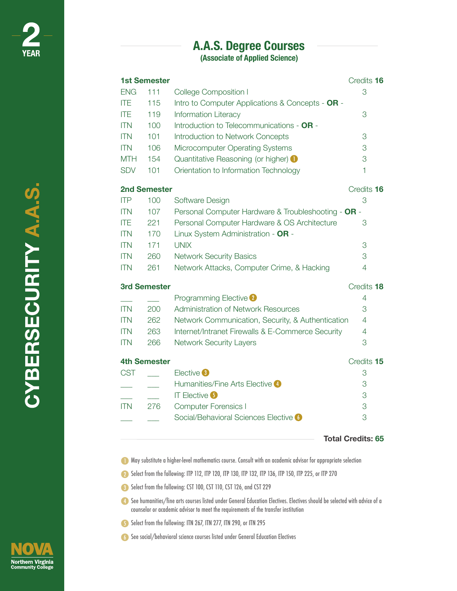# **[A.A.S. Degree Courses](https://www.nvcc.edu/academics/areas/information-technology/cybersecurity/index.html#panel1)**

**(Associate of Applied Science)**

| <b>1st Semester</b> | Credits 16          |                                                     |                |  |
|---------------------|---------------------|-----------------------------------------------------|----------------|--|
| <b>ENG</b>          | 111                 | <b>College Composition I</b>                        | 3              |  |
| <b>ITE</b>          | 115                 | Intro to Computer Applications & Concepts - OR -    |                |  |
| <b>ITE</b>          | 119                 | <b>Information Literacy</b>                         | 3              |  |
| <b>ITN</b>          | 100                 | Introduction to Telecommunications - OR -           |                |  |
| <b>ITN</b>          | 101                 | <b>Introduction to Network Concepts</b>             | 3              |  |
| <b>ITN</b>          | 106                 | Microcomputer Operating Systems                     | 3              |  |
| <b>MTH</b>          | 154                 | Quantitative Reasoning (or higher) <b>O</b>         | 3              |  |
| <b>SDV</b>          | 101                 | Orientation to Information Technology               | $\mathbf{1}$   |  |
|                     | <b>2nd Semester</b> |                                                     |                |  |
| <b>ITP</b>          | 100                 | Software Design                                     | 3              |  |
| <b>ITN</b>          | 107                 | Personal Computer Hardware & Troubleshooting - OR - |                |  |
| <b>ITE</b>          | 221                 | Personal Computer Hardware & OS Architecture        | 3              |  |
| <b>ITN</b>          | 170                 | Linux System Administration - OR -                  |                |  |
| <b>ITN</b>          | 171                 | <b>UNIX</b>                                         | 3              |  |
| <b>ITN</b>          | 260                 | <b>Network Security Basics</b>                      | 3              |  |
| <b>ITN</b>          | 261                 | Network Attacks, Computer Crime, & Hacking          | $\overline{4}$ |  |
| <b>3rd Semester</b> |                     |                                                     | Credits 18     |  |
|                     |                     | <b>Programming Elective 2</b>                       | $\overline{4}$ |  |
| <b>ITN</b>          | 200                 | <b>Administration of Network Resources</b>          | 3              |  |
| <b>ITN</b>          | 262                 | Network Communication, Security, & Authentication   | 4              |  |
| <b>ITN</b>          | 263                 | Internet/Intranet Firewalls & E-Commerce Security   | $\overline{4}$ |  |
| <b>ITN</b>          | 266                 | <b>Network Security Layers</b>                      | 3              |  |
|                     | <b>4th Semester</b> |                                                     |                |  |
| <b>CST</b>          |                     | Elective <sup>3</sup>                               | 3              |  |
|                     |                     | Humanities/Fine Arts Elective 4                     | 3              |  |
|                     |                     | <b>IT Elective 5</b>                                | 3              |  |
| <b>ITN</b>          | 276                 | <b>Computer Forensics I</b>                         | 3              |  |
|                     |                     | Social/Behavioral Sciences Elective 6               | 3              |  |
|                     |                     |                                                     |                |  |

**Total Credits: 65**

May substitute a higher-level mathematics course. Consult with an academic advisor for appropriate selection

Select from the following: ITP 112, ITP 120, ITP 130, ITP 132, ITP 136, ITP 150, ITP 225, or ITP 270

8 Select from the following: CST 100, CST 110, CST 126, and CST 229

See humanities/fine arts courses listed under General Education Electives. Electives should be selected with advice of a counselor or academic advisor to meet the requirements of the transfer institution

Select from the following: ITN 267, ITN 277, ITN 290, or ITN 295

See social/behavioral science courses listed under General Education Electives

CYBERSECURITY A.A.S.